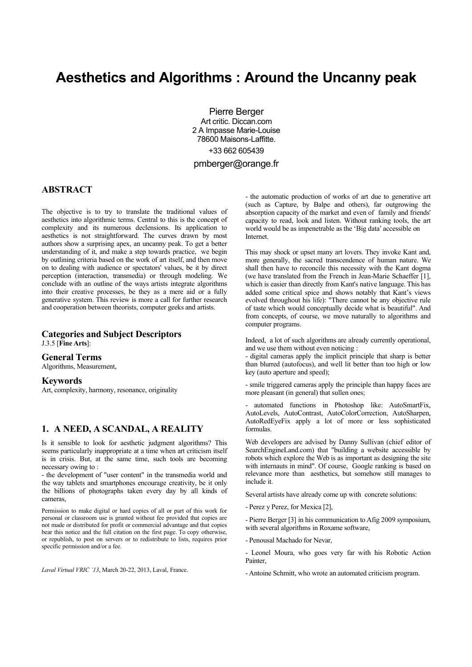# **Aesthetics and Algorithms : Around the Uncanny peak**

Pierre Berger Art critic. Diccan.com 2 A Impasse Marie-Louise 78600 Maisons-Laffitte. +33 662 605439 pmberger@orange.fr

## **ABSTRACT**

The objective is to try to translate the traditional values of aesthetics into algorithmic terms. Central to this is the concept of complexity and its numerous declensions. Its application to aesthetics is not straightforward. The curves drawn by most authors show a surprising apex, an uncanny peak. To get a better understanding of it, and make a step towards practice, we begin by outlining criteria based on the work of art itself, and then move on to dealing with audience or spectators' values, be it by direct perception (interaction, transmedia) or through modeling. We conclude with an outline of the ways artists integrate algorithms into their creative processes, be they as a mere aid or a fully generative system. This review is more a call for further research and cooperation between theorists, computer geeks and artists.

#### **Categories and Subject Descriptors** J.3.5 [**Fine Arts**]:

#### **General Terms**

Algorithms, Measurement,

#### **Keywords**

Art, complexity, harmony, resonance, originality

# **1. A NEED, A SCANDAL, A REALITY**

Is it sensible to look for aesthetic judgment algorithms? This seems particularly inappropriate at a time when art criticism itself is in crisis. But, at the same time, such tools are becoming necessary owing to :

- the development of "user content" in the transmedia world and the way tablets and smartphones encourage creativity, be it only the billions of photographs taken every day by all kinds of cameras,

Permission to make digital or hard copies of all or part of this work for personal or classroom use is granted without fee provided that copies are not made or distributed for profit or commercial advantage and that copies bear this notice and the full citation on the first page. To copy otherwise, or republish, to post on servers or to redistribute to lists, requires prior specific permission and/or a fee.

*Laval Virtual VRIC '13*, March 20-22, 2013, Laval, France.

- the automatic production of works of art due to generative art (such as Capture, by Balpe and others), far outgrowing the absorption capacity of the market and even of family and friends' capacity to read, look and listen. Without ranking tools, the art world would be as impenetrable as the 'Big data' accessible on Internet.

This may shock or upset many art lovers. They invoke Kant and, more generally, the sacred transcendence of human nature. We shall then have to reconcile this necessity with the Kant dogma (we have translated from the French in Jean-Marie Schaeffer [1], which is easier than directly from Kant's native language. This has added some critical spice and shows notably that Kant's views evolved throughout his life): "There cannot be any objective rule of taste which would conceptually decide what is beautiful". And from concepts, of course, we move naturally to algorithms and computer programs.

Indeed, a lot of such algorithms are already currently operational, and we use them without even noticing :

- digital cameras apply the implicit principle that sharp is better than blurred (autofocus), and well lit better than too high or low key (auto aperture and speed);

- smile triggered cameras apply the principle than happy faces are more pleasant (in general) that sullen ones;

- automated functions in Photoshop like: AutoSmartFix, AutoLevels, AutoContrast, AutoColorCorrection, AutoSharpen, AutoRedEyeFix apply a lot of more or less sophisticated formulas.

Web developers are advised by Danny Sullivan (chief editor of SearchEngineLand.com) that "building a website accessible by robots which explore the Web is as important as designing the site with internauts in mind". Of course, Google ranking is based on relevance more than aesthetics, but somehow still manages to include it.

Several artists have already come up with concrete solutions:

- Perez y Perez, for Mexica [2],

- Pierre Berger [3] in his communication to Afig 2009 symposium, with several algorithms in Roxame software.

- Penousal Machado for Nevar,

- Leonel Moura, who goes very far with his Robotic Action **Painter** 

- Antoine Schmitt, who wrote an automated criticism program.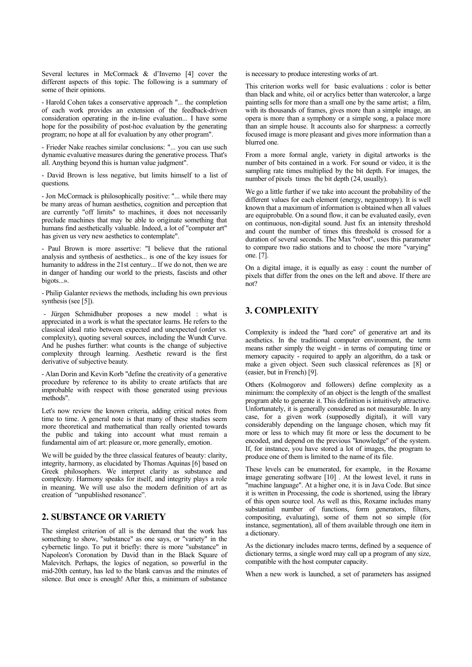Several lectures in McCormack & d'Inverno [4] cover the different aspects of this topic. The following is a summary of some of their opinions.

- Harold Cohen takes a conservative approach "... the completion of each work provides an extension of the feedback-driven consideration operating in the in-line evaluation... I have some hope for the possibility of post-hoc evaluation by the generating program; no hope at all for evaluation by any other program".

- Frieder Nake reaches similar conclusions: "... you can use such dynamic evaluative measures during the generative process. That's all. Anything beyond this is human value judgment".

- David Brown is less negative, but limits himself to a list of questions.

- Jon McCormack is philosophically positive: "... while there may be many areas of human aesthetics, cognition and perception that are currently "off limits" to machines, it does not necessarily preclude machines that may be able to originate something that humans find aesthetically valuable. Indeed, a lot of "computer art" has given us very new aesthetics to contemplate".

- Paul Brown is more assertive: "I believe that the rational analysis and synthesis of aesthetics... is one of the key issues for humanity to address in the 21st century... If we do not, then we are in danger of handing our world to the priests, fascists and other bigots...».

- Philip Galanter reviews the methods, including his own previous synthesis (see [5]).

- Jürgen Schmidhuber proposes a new model : what is appreciated in a work is what the spectator learns. He refers to the classical ideal ratio between expected and unexpected (order vs. complexity), quoting several sources, including the Wundt Curve. And he pushes further: what counts is the change of subjective complexity through learning. Aesthetic reward is the first derivative of subjective beauty.

- Alan Dorin and Kevin Korb "define the creativity of a generative procedure by reference to its ability to create artifacts that are improbable with respect with those generated using previous methods".

Let's now review the known criteria, adding critical notes from time to time. A general note is that many of these studies seem more theoretical and mathematical than really oriented towards the public and taking into account what must remain a fundamental aim of art: pleasure or, more generally, emotion.

We will be guided by the three classical features of beauty: clarity, integrity, harmony, as elucidated by Thomas Aquinas [6] based on Greek philosophers. We interpret clarity as substance and complexity. Harmony speaks for itself, and integrity plays a role in meaning. We will use also the modern definition of art as creation of "unpublished resonance".

## **2. SUBSTANCE OR VARIETY**

The simplest criterion of all is the demand that the work has something to show, "substance" as one says, or "variety" in the cybernetic lingo. To put it briefly: there is more "substance" in Napoleon's Coronation by David than in the Black Square of Malevitch. Perhaps, the logics of negation, so powerful in the mid-20th century, has led to the blank canvas and the minutes of silence. But once is enough! After this, a minimum of substance

is necessary to produce interesting works of art.

This criterion works well for basic evaluations : color is better than black and white, oil or acrylics better than watercolor, a large painting sells for more than a small one by the same artist; a film, with its thousands of frames, gives more than a simple image, an opera is more than a symphony or a simple song, a palace more than an simple house. It accounts also for sharpness: a correctly focused image is more pleasant and gives more information than a blurred one.

From a more formal angle, variety in digital artworks is the number of bits contained in a work. For sound or video, it is the sampling rate times multiplied by the bit depth. For images, the number of pixels times the bit depth (24, usually).

We go a little further if we take into account the probability of the different values for each element (energy, neguentropy). It is well known that a maximum of information is obtained when all values are equiprobable. On a sound flow, it can be evaluated easily, even on continuous, non-digital sound. Just fix an intensity threshold and count the number of times this threshold is crossed for a duration of several seconds. The Max "robot", uses this parameter to compare two radio stations and to choose the more "varying" one. [7].

On a digital image, it is equally as easy : count the number of pixels that differ from the ones on the left and above. If there are not?

# **3. COMPLEXITY**

Complexity is indeed the "hard core" of generative art and its aesthetics. In the traditional computer environment, the term means rather simply the weight - in terms of computing time or memory capacity - required to apply an algorithm, do a task or make a given object. Seen such classical references as [8] or (easier, but in French) [9].

Others (Kolmogorov and followers) define complexity as a minimum: the complexity of an object is the length of the smallest program able to generate it. This definition is intuitively attractive. Unfortunately, it is generally considered as not measurable. In any case, for a given work (supposedly digital), it will vary considerably depending on the language chosen, which may fit more or less to which may fit more or less the document to be encoded, and depend on the previous "knowledge" of the system. If, for instance, you have stored a lot of images, the program to produce one of them is limited to the name of its file.

These levels can be enumerated, for example, in the Roxame image generating software [10] . At the lowest level, it runs in "machine language". At a higher one, it is in Java Code. But since it is written in Processing, the code is shortened, using the library of this open source tool. As well as this, Roxame includes many substantial number of functions, form generators, filters, compositing, evaluating), some of them not so simple (for instance, segmentation), all of them available through one item in a dictionary.

As the dictionary includes macro terms, defined by a sequence of dictionary terms, a single word may call up a program of any size, compatible with the host computer capacity.

When a new work is launched, a set of parameters has assigned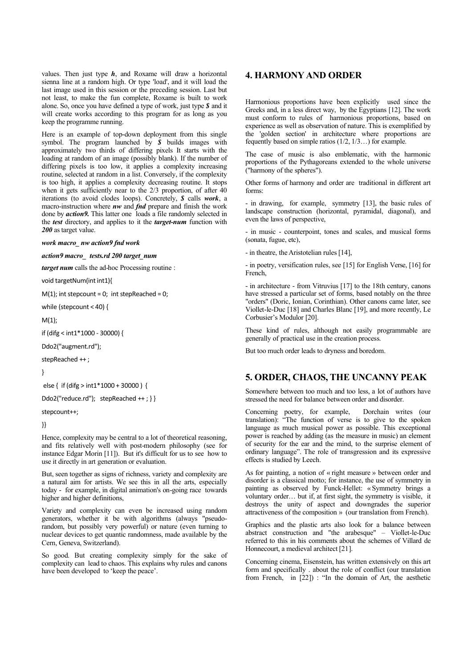values. Then just type *h*, and Roxame will draw a horizontal sienna line at a random high. Or type 'load', and it will load the last image used in this session or the preceding session. Last but not least, to make the fun complete, Roxame is built to work alone. So, once you have defined a type of work, just type *\$* and it will create works according to this program for as long as you keep the programme running.

Here is an example of top-down deployment from this single symbol. The program launched by *\$* builds images with approximately two thirds of differing pixels It starts with the loading at random of an image (possibly blank). If the number of differing pixels is too low, it applies a complexity increasing routine, selected at random in a list. Conversely, if the complexity is too high, it applies a complexity decreasing routine. It stops when it gets sufficiently near to the  $2/3$  proportion, of after  $40$ iterations (to avoid clodes loops). Concretely, *\$* calls *work*, a macro-instruction where *nw* and *fnd* prepare and finish the work done by *action9.* This latter one loads a file randomly selected in the *test* directory, and applies to it the *target-num* function with *200* as target value.

#### *work macro\_ nw action9 fnd work*

*action9 macro\_ tests.rd 200 target\_num*

*target num* calls the ad-hoc Processing routine :

void targetNum(int int1){

 $M(1)$ ; int stepcount = 0; int stepReached = 0;

while (stepcount < 40) {

 $M(1)$ ;

if (difg < int1\*1000 - 30000) {

Ddo2("augment.rd");

stepReached ++ ;

}

else { if (difg > int1\*1000 + 30000 ) {

Ddo2("reduce.rd"); stepReached ++; } }

#### stepcount++;

}}

Hence, complexity may be central to a lot of theoretical reasoning, and fits relatively well with post-modern philosophy (see for instance Edgar Morin [11]). But it's difficult for us to see how to use it directly in art generation or evaluation.

But, seen together as signs of richness, variety and complexity are a natural aim for artists. We see this in all the arts, especially today - for example, in digital animation's on-going race towards higher and higher definitions,

Variety and complexity can even be increased using random generators, whether it be with algorithms (always "pseudorandom, but possibly very powerful) or nature (even turning to nuclear devices to get quantic randomness, made available by the Cern, Geneva, Switzerland).

So good. But creating complexity simply for the sake of complexity can lead to chaos. This explains why rules and canons have been developed to 'keep the peace'.

## **4. HARMONY AND ORDER**

Harmonious proportions have been explicitly used since the Greeks and, in a less direct way, by the Egyptians [12]. The work must conform to rules of harmonious proportions, based on experience as well as observation of nature. This is exemplified by the 'golden section' in architecture where proportions are fequently based on simple ratios (1/2, 1/3…) for example.

The case of music is also emblematic, with the harmonic proportions of the Pythagoreans extended to the whole universe ("harmony of the spheres").

Other forms of harmony and order are traditional in different art forms:

- in drawing, for example, symmetry [13], the basic rules of landscape construction (horizontal, pyramidal, diagonal), and even the laws of perspective,

- in music - counterpoint, tones and scales, and musical forms (sonata, fugue, etc),

- in theatre, the Aristotelian rules [14],

- in poetry, versification rules, see [15] for English Verse, [16] for French,

- in architecture - from Vitruvius [17] to the 18th century, canons have stressed a particular set of forms, based notably on the three "orders" (Doric, Ionian, Corinthian). Other canons came later, see Viollet-le-Duc [18] and Charles Blanc [19], and more recently, Le Corbusier's Modulor [20].

These kind of rules, although not easily programmable are generally of practical use in the creation process.

But too much order leads to dryness and boredom.

#### **5. ORDER, CHAOS, THE UNCANNY PEAK**

Somewhere between too much and too less, a lot of authors have stressed the need for balance between order and disorder.

Concerning poetry, for example, Dorchain writes (our translation): "The function of verse is to give to the spoken language as much musical power as possible. This exceptional power is reached by adding (as the measure in music) an element of security for the ear and the mind, to the surprise element of ordinary language". The role of transgression and its expressive effects is studied by Leech.

As for painting, a notion of « right measure » between order and disorder is a classical motto; for instance, the use of symmetry in painting as observed by Funck-Hellet: « Symmetry brings a voluntary order… but if, at first sight, the symmetry is visible, it destroys the unity of aspect and downgrades the superior attractiveness of the composition » (our translation from French).

Graphics and the plastic arts also look for a balance between abstract construction and "the arabesque" – Viollet-le-Duc referred to this in his comments about the schemes of Villard de Honnecourt, a medieval architect [21].

Concerning cinema, Eisenstein, has written extensively on this art form and specifically . about the role of conflict (our translation from French, in [22]) : "In the domain of Art, the aesthetic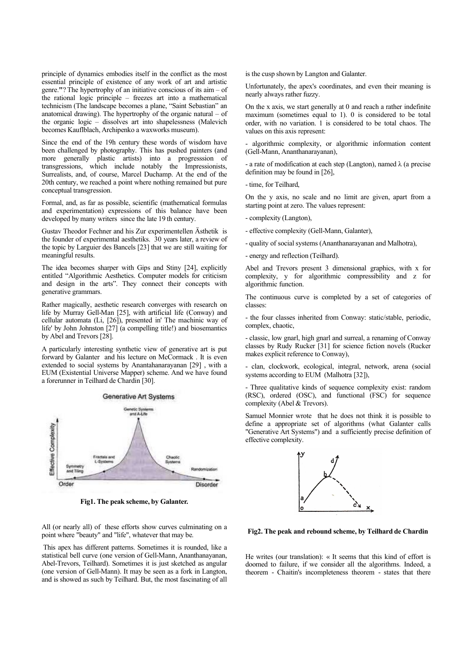principle of dynamics embodies itself in the conflict as the most essential principle of existence of any work of art and artistic genre.**"**? The hypertrophy of an initiative conscious of its aim – of the rational logic principle – freezes art into a mathematical technicism (The landscape becomes a plane, "Saint Sebastian" an anatomical drawing). The hypertrophy of the organic natural – of the organic logic – dissolves art into shapelessness (Malevich becomes Kauflblach, Archipenko a waxworks museum).

Since the end of the 19h century these words of wisdom have been challenged by photography. This has pushed painters (and more generally plastic artists) into a progresssion of transgressions, which include notably the Impressionists, Surrealists, and, of course, Marcel Duchamp. At the end of the 20th century, we reached a point where nothing remained but pure conceptual transgression.

Formal, and, as far as possible, scientific (mathematical formulas and experimentation) expressions of this balance have been developed by many writers since the late 19 th century.

Gustav Theodor Fechner and his Zur experimentellen Ästhetik is the founder of experimental aesthetiks. 30 years later, a review of the topic by Larguier des Bancels [23] that we are still waiting for meaningful results.

The idea becomes sharper with Gips and Stiny [24], explicitly entitled "Algorithmic Aesthetics. Computer models for criticism and design in the arts". They connect their concepts with generative grammars.

Rather magically, aesthetic research converges with research on life by Murray Gell-Man [25], with artificial life (Conway) and cellular automata (Li, [26]), presented in' The machinic way of life' by John Johnston [27] (a compelling title!) and biosemantics by Abel and Trevors [28].

A particularly interesting synthetic view of generative art is put forward by Galanter and his lecture on McCormack . It is even extended to social systems by Anantahanarayanan [29] , with a EUM (Existential Universe Mapper) scheme. And we have found a forerunner in Teilhard de Chardin [30].



**Fig1. The peak scheme, by Galanter.**

All (or nearly all) of these efforts show curves culminating on a point where "beauty" and "life", whatever that may be.

This apex has different patterns. Sometimes it is rounded, like a statistical bell curve (one version of Gell-Mann, Ananthanayanan, Abel-Trevors, Teilhard). Sometimes it is just sketched as angular (one version of Gell-Mann). It may be seen as a fork in Langton, and is showed as such by Teilhard. But, the most fascinating of all is the cusp shown by Langton and Galanter.

Unfortunately, the apex's coordinates, and even their meaning is nearly always rather fuzzy.

On the x axis, we start generally at 0 and reach a rather indefinite maximum (sometimes equal to 1). 0 is considered to be total order, with no variation. 1 is considered to be total chaos. The values on this axis represent:

- algorithmic complexity, or algorithmic information content (Gell-Mann, Ananthanarayanan),

- a rate of modification at each step (Langton), named  $\lambda$  (a precise definition may be found in [26],

- time, for Teilhard,

On the y axis, no scale and no limit are given, apart from a starting point at zero. The values represent:

- complexity (Langton),

- effective complexity (Gell-Mann, Galanter),

- quality of social systems (Ananthanarayanan and Malhotra),

- energy and reflection (Teilhard).

Abel and Trevors present 3 dimensional graphics, with x for complexity, y for algorithmic compressibility and z for algorithmic function.

The continuous curve is completed by a set of categories of classes:

- the four classes inherited from Conway: static/stable, periodic, complex, chaotic,

- classic, low gnarl, high gnarl and surreal, a renaming of Conway classes by Rudy Rucker [31] for science fiction novels (Rucker makes explicit reference to Conway),

- clan, clockwork, ecological, integral, network, arena (social systems according to EUM (Malhotra [32]),

- Three qualitative kinds of sequence complexity exist: random (RSC), ordered (OSC), and functional (FSC) for sequence complexity (Abel & Trevors).

Samuel Monnier wrote that he does not think it is possible to define a appropriate set of algorithms (what Galanter calls "Generative Art Systems") and a sufficiently precise definition of effective complexity.



**Fig2. The peak and rebound scheme, by Teilhard de Chardin**

He writes (our translation): « It seems that this kind of effort is doomed to failure, if we consider all the algorithms. Indeed, a theorem - Chaitin's incompleteness theorem - states that there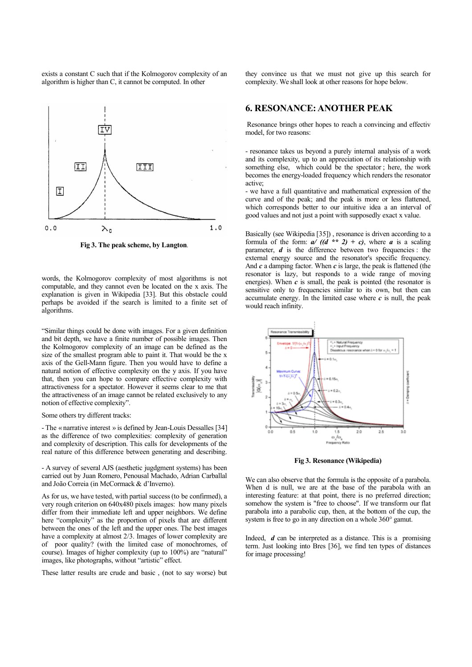exists a constant C such that if the Kolmogorov complexity of an algorithm is higher than C, it cannot be computed. In other



**Fig 3. The peak scheme, by Langton***.*

words, the Kolmogorov complexity of most algorithms is not computable, and they cannot even be located on the x axis. The explanation is given in Wikipedia [33]. But this obstacle could perhaps be avoided if the search is limited to a finite set of algorithms.

"Similar things could be done with images. For a given definition and bit depth, we have a finite number of possible images. Then the Kolmogorov complexity of an image can be defined as the size of the smallest program able to paint it. That would be the x axis of the Gell-Mann figure. Then you would have to define a natural notion of effective complexity on the y axis. If you have that, then you can hope to compare effective complexity with attractiveness for a spectator. However it seems clear to me that the attractiveness of an image cannot be related exclusively to any notion of effective complexity".

Some others try different tracks:

- The « narrative interest » is defined by Jean-Louis Dessalles [34] as the difference of two complexities: complexity of generation and complexity of description. This calls for developments of the real nature of this difference between generating and describing.

- A survey of several AJS (aesthetic jugdgment systems) has been carried out by Juan Romero, Penousal Machado, Adrian Carballal and João Correia (in McCormack & d'Inverno).

As for us, we have tested, with partial success (to be confirmed), a very rough criterion on 640x480 pixels images: how many pixels differ from their immediate left and upper neighbors. We define here "complexity" as the proportion of pixels that are different between the ones of the left and the upper ones. The best images have a complexity at almost 2/3. Images of lower complexity are of poor quality? (with the limited case of monochromes, of course). Images of higher complexity (up to 100%) are "natural" images, like photographs, without "artistic" effect.

These latter results are crude and basic , (not to say worse) but

they convince us that we must not give up this search for complexity. We shall look at other reasons for hope below.

## **6. RESONANCE: ANOTHER PEAK**

Resonance brings other hopes to reach a convincing and effectiv model, for two reasons:

- resonance takes us beyond a purely internal analysis of a work and its complexity, up to an appreciation of its relationship with something else, which could be the spectator ; here, the work becomes the energy-loaded frequency which renders the resonator active;

- we have a full quantitative and mathematical expression of the curve and of the peak; and the peak is more or less flattened, which corresponds better to our intuitive idea a an interval of good values and not just a point with supposedly exact x value.

Basically (see Wikipedia [35]) , resonance is driven according to a formula of the form:  $a/(d * 2) + c$ , where *a* is a scaling parameter, *d* is the difference between two frequencies : the external energy source and the resonator's specific frequency. And *c* a damping factor. When *c* is large, the peak is flattened (the resonator is lazy, but responds to a wide range of moving energies). When  $c$  is small, the peak is pointed (the resonator is sensitive only to frequencies similar to its own, but then can accumulate energy. In the limited case where  $c$  is null, the peak would reach infinity.



**Fig 3. Resonance (Wikipedia)**

We can also observe that the formula is the opposite of a parabola. When d is null, we are at the base of the parabola with an interesting feature: at that point, there is no preferred direction; somehow the system is "free to choose". If we transform our flat parabola into a parabolic cup, then, at the bottom of the cup, the system is free to go in any direction on a whole  $360^{\circ}$  gamut.

Indeed, *d* can be interpreted as a distance. This is a promising term. Just looking into Bres [36], we find ten types of distances for image processing!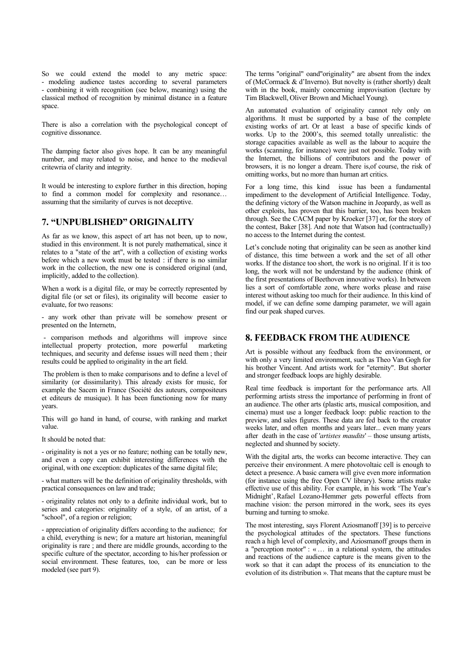So we could extend the model to any metric space: - modeling audience tastes according to several parameters - combining it with recognition (see below, meaning) using the classical method of recognition by minimal distance in a feature space.

There is also a correlation with the psychological concept of cognitive dissonance.

The damping factor also gives hope. It can be any meaningful number, and may related to noise, and hence to the medieval critewria of clarity and integrity.

It would be interesting to explore further in this direction, hoping to find a common model for complexity and resonance… assuming that the similarity of curves is not deceptive.

## **7. "UNPUBLISHED" ORIGINALITY**

As far as we know, this aspect of art has not been, up to now, studied in this environment. It is not purely mathematical, since it relates to a "state of the art", with a collection of existing works before which a new work must be tested : if there is no similar work in the collection, the new one is considered original (and, implicitly, added to the collection).

When a work is a digital file, or may be correctly represented by digital file (or set or files), its originality will become easier to evaluate, for two reasons:

- any work other than private will be somehow present or presented on the Internetn,

- comparison methods and algorithms will improve since intellectual property protection, more powerful marketing techniques, and security and defense issues will need them ; their results could be applied to originality in the art field.

The problem is then to make comparisons and to define a level of similarity (or dissimilarity). This already exists for music, for example the Sacem in France (Société des auteurs, compositeurs et editeurs de musique). It has been functioning now for many years.

This will go hand in hand, of course, with ranking and market value.

It should be noted that:

- originality is not a yes or no feature; nothing can be totally new, and even a copy can exhibit interesting differences with the original, with one exception: duplicates of the same digital file;

- what matters will be the definition of originality thresholds, with practical consequences on law and trade;

- originality relates not only to a definite individual work, but to series and categories: originality of a style, of an artist, of a "school", of a region or religion;

- appreciation of originality differs according to the audience; for a child, everything is new; for a mature art historian, meaningful originality is rare ; and there are middle grounds, according to the specific culture of the spectator, according to his/her profession or social environment. These features, too, can be more or less modeled (see part 9).

The terms "original" oand"originality" are absent from the index of (McCormack & d'Inverno). But novelty is (rather shortly) dealt with in the book, mainly concerning improvisation (lecture by Tim Blackwell, Oliver Brown and Michael Young).

An automated evaluation of originality cannot rely only on algorithms. It must be supported by a base of the complete existing works of art. Or at least a base of specific kinds of works. Up to the 2000's, this seemed totally unrealistic: the storage capacities available as well as the labour to acquire the works (scanning, for instance) were just not possible. Today with the Internet, the billions of contributors and the power of browsers, it is no longer a dream. There is,of course, the risk of omitting works, but no more than human art critics.

For a long time, this kind issue has been a fundamental impediment to the development of Artificial Intelligence. Today, the defining victory of the Watson machine in Jeopardy, as well as other exploits, has proven that this barrier, too, has been broken through. See the CACM paper by Kroeker [37] or, for the story of the contest, Baker [38]. And note that Watson had (contractually) no access to the Internet during the contest.

Let's conclude noting that originality can be seen as another kind of distance, this time between a work and the set of all other works. If the distance too short, the work is no original. If it is too long, the work will not be understand by the audience (think of the first presentations of Beethoven innovative works). In between lies a sort of comfortable zone, where works please and raise interest without asking too much for their audience. In this kind of model, if we can define some damping parameter, we will again find our peak shaped curves.

#### **8. FEEDBACK FROM THE AUDIENCE**

Art is possible without any feedback from the environment, or with only a very limited environment, such as Theo Van Gogh for his brother Vincent. And artists work for "eternity". But shorter and stronger feedback loops are highly desirable.

Real time feedback is important for the performance arts. All performing artists stress the importance of performing in front of an audience. The other arts (plastic arts, musical composition, and cinema) must use a longer feedback loop: public reaction to the preview, and sales figures. These data are fed back to the creator weeks later, and often months and years later... even many years after death in the case of '*artistes maudits*' – those unsung artists, neglected and shunned by society.

With the digital arts, the works can become interactive. They can perceive their environment. A mere photovoltaic cell is enough to detect a presence. A basic camera will give even more information (for instance using the free Open CV library). Some artists make effective use of this ability. For example, in his work 'The Year's Midnight', Rafael Lozano-Hemmer gets powerful effects from machine vision: the person mirrored in the work, sees its eyes burning and turning to smoke.

The most interesting, says Florent Aziosmanoff [39] is to perceive the psychological attitudes of the spectators. These functions reach a high level of complexity, and Aziosmanoff groups them in a "perception motor" : «… in a relational system, the attitudes and reactions of the audience capture is the means given to the work so that it can adapt the process of its enunciation to the evolution of its distribution ». That means that the capture must be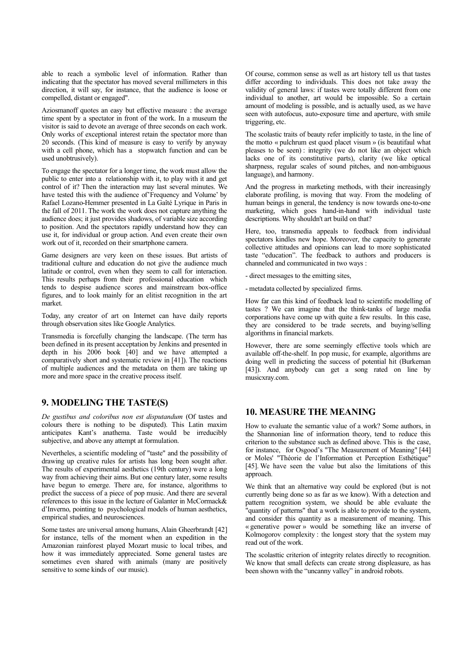able to reach a symbolic level of information. Rather than indicating that the spectator has moved several millimeters in this direction, it will say, for instance, that the audience is loose or compelled, distant or engaged".

Aziosmanoff quotes an easy but effective measure : the average time spent by a spectator in front of the work. In a museum the visitor is said to devote an average of three seconds on each work. Only works of exceptional interest retain the spectator more than 20 seconds. (This kind of measure is easy to verify by anyway with a cell phone, which has a stopwatch function and can be used unobtrusively).

To engage the spectator for a longer time, the work must allow the public to enter into a relationship with it, to play with it and get control of it? Then the interaction may last several minutes. We have tested this with the audience of Frequency and Volume' by Rafael Lozano-Hemmer presented in La Gaîté Lyrique in Paris in the fall of 2011. The work the work does not capture anything the audience does; it just provides shadows, of variable size according to position. And the spectators rapidly understand how they can use it, for individual or group action. And even create their own work out of it, recorded on their smartphone camera.

Game designers are very keen on these issues. But artists of traditional culture and education do not give the audience much latitude or control, even when they seem to call for interaction. This results perhaps from their professional education which tends to despise audience scores and mainstream box-office figures, and to look mainly for an elitist recognition in the art market.

Today, any creator of art on Internet can have daily reports through observation sites like Google Analytics.

Transmedia is forcefully changing the landscape. (The term has been defined in its present acceptation by Jenkins and presented in depth in his  $2006$  book  $\begin{bmatrix} 40 \\ 40 \end{bmatrix}$  and we have attempted a comparatively short and systematic review in [41]). The reactions of multiple audiences and the metadata on them are taking up more and more space in the creative process itself.

## **9. MODELING THE TASTE(S)**

*De gustibus and coloribus non est disputandum* (Of tastes and colours there is nothing to be disputed). This Latin maxim anticipates Kant's anathema. Taste would be irreducibly subjective, and above any attempt at formulation.

Nevertheles, a scientific modeling of "taste" and the possibility of drawing up creative rules for artists has long been sought after. The results of experimental aesthetics (19th century) were a long way from achieving their aims. But one century later, some results have begun to emerge. There are, for instance, algorithms to predict the success of a piece of pop music. And there are several references to this issue in the lecture of Galanter in McCormack& d'Inverno, pointing to psychological models of human aesthetics, empirical studies, and neurosciences.

Some tastes are universal among humans, Alain Gheerbrandt [42] for instance, tells of the moment when an expedition in the Amazonian rainforest played Mozart music to local tribes, and how it was immediately appreciated. Some general tastes are sometimes even shared with animals (many are positively sensitive to some kinds of our music).

Of course, common sense as well as art history tell us that tastes differ according to individuals. This does not take away the validity of general laws: if tastes were totally different from one individual to another, art would be impossible. So a certain amount of modeling is possible, and is actually used, as we have seen with autofocus, auto-exposure time and aperture, with smile triggering, etc.

The scolastic traits of beauty refer implicitly to taste, in the line of the motto « pulchrum est quod placet visum » (is beautifaul what pleases to be seen) : integrity (we do not like an object which lacks one of its constitutive parts), clarity (we like optical sharpness, regular scales of sound pitches, and non-ambiguous language), and harmony.

And the progress in marketing methods, with their increasingly elaborate profiling, is moving that way. From the modeling of human beings in general, the tendency is now towards one-to-one marketing, which goes hand-in-hand with individual taste descriptions. Why shouldn't art build on that?

Here, too, transmedia appeals to feedback from individual spectators kindles new hope. Moreover, the capacity to generate collective attitudes and opinions can lead to more sophisticated taste "education". The feedback to authors and producers is channeled and communicated in two ways :

- direct messages to the emitting sites,

- metadata collected by specialized firms.

How far can this kind of feedback lead to scientific modelling of tastes ? We can imagine that the think-tanks of large media corporations have come up with quite a few results. In this case, they are considered to be trade secrets, and buying/selling algorithms in financial markets.

However, there are some seemingly effective tools which are available off-the-shelf. In pop music, for example, algorithms are doing well in predicting the success of potential hit (Burkeman [43]). And anybody can get a song rated on line by musicxray.com.

#### **10. MEASURE THE MEANING**

How to evaluate the semantic value of a work? Some authors, in the Shannonian line of information theory, tend to reduce this criterion to the substance such as defined above. This is the case, for instance, for Osgood's "The Measurement of Meaning" [44] or Moles' "Théorie de l'Information et Perception Esthétique" [45]. We have seen the value but also the limitations of this approach.

We think that an alternative way could be explored (but is not currently being done so as far as we know). With a detection and pattern recognition system, we should be able evaluate the "quantity of patterns" that a work is able to provide to the system, and consider this quantity as a measurement of meaning. This « generative power » would be something like an inverse of Kolmogorov complexity : the longest story that the system may read out of the work.

The scolasttic criterion of integrity relates directly to recognition. We know that small defects can create strong displeasure, as has been shown with the "uncanny valley" in android robots.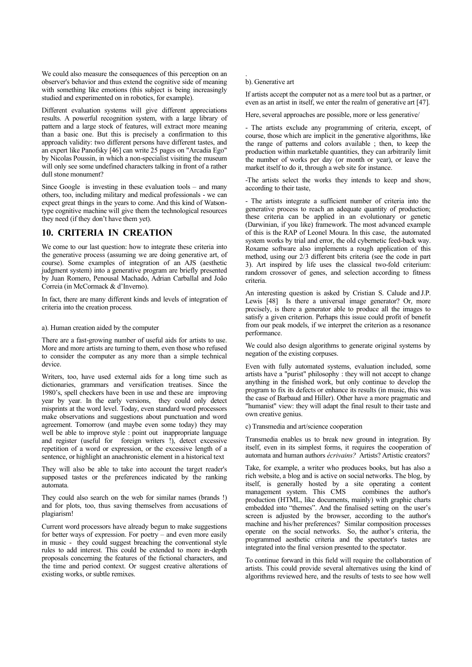We could also measure the consequences of this perception on an observer's behavior and thus extend the cognitive side of meaning with something like emotions (this subject is being increasingly studied and experimented on in robotics, for example).

Different evaluation systems will give different appreciations results. A powerful recognition system, with a large library of pattern and a large stock of features, will extract more meaning than a basic one. But this is precisely a confirmation to this approach validity: two different persons have different tastes, and an expert like Panofsky [46] can write 25 pages on "Arcadia Ego" by Nicolas Poussin, in which a non-specialist visiting the museum will only see some undefined characters talking in front of a rather dull stone monument?

Since Google is investing in these evaluation tools – and many others, too, including military and medical professionals - we can expect great things in the years to come. And this kind of Watsontype cognitive machine will give them the technological resources they need (if they don't have them yet).

## **10. CRITERIA IN CREATION**

We come to our last question: how to integrate these criteria into the generative process (assuming we are doing generative art, of course). Some examples of integration of an AJS (aesthetic judgment system) into a generative program are briefly presented by Juan Romero, Penousal Machado, Adrian Carballal and João Correia (in McCormack & d'Inverno).

In fact, there are many different kinds and levels of integration of criteria into the creation process.

#### a). Human creation aided by the computer

There are a fast-growing number of useful aids for artists to use. More and more artists are turning to them, even those who refused to consider the computer as any more than a simple technical device.

Writers, too, have used external aids for a long time such as dictionaries, grammars and versification treatises. Since the 1980's, spell checkers have been in use and these are improving year by year. In the early versions, they could only detect misprints at the word level. Today, even standard word processors make observations and suggestions about punctuation and word agreement. Tomorrow (and maybe even some today) they may well be able to improve style : point out inappropriate language and register (useful for foreign writers !), detect excessive repetition of a word or expression, or the excessive length of a sentence, or highlight an anachronistic element in a historical text

They will also be able to take into account the target reader's supposed tastes or the preferences indicated by the ranking automata.

They could also search on the web for similar names (brands !) and for plots, too, thus saving themselves from accusations of plagiarism!

Current word processors have already begun to make suggestions for better ways of expression. For poetry – and even more easily in music - they could suggest breaching the conventional style rules to add interest. This could be extended to more in-depth proposals concerning the features of the fictional characters, and the time and period context. Or suggest creative alterations of existing works, or subtle remixes.

#### b). Generative art

.

If artists accept the computer not as a mere tool but as a partner, or even as an artist in itself, we enter the realm of generative art [47].

Here, several approaches are possible, more or less generative/

- The artists exclude any programming of criteria, except, of course, those which are implicit in the generative algorithms, like the range of patterns and colors available ; then, to keep the production within marketable quantities, they can arbitrarily limit the number of works per day (or month or year), or leave the market itself to do it, through a web site for instance.

-The artists select the works they intends to keep and show, according to their taste,

- The artists integrate a sufficient number of criteria into the generative process to reach an adequate quantity of production; these criteria can be applied in an evolutionary or genetic (Darwinian, if you like) framework. The most advanced example of this is the RAP of Leonel Moura. In this case, the automated system works by trial and error, the old cybernetic feed-back way. Roxame software also implements a rough application of this method, using our 2/3 different bits criteria (see the code in part 3). Art inspired by life uses the classical two-fold criterium: random crossover of genes, and selection according to fitness criteria.

An interesting question is asked by Cristian S. Calude and J.P. Lewis [48] Is there a universal image generator? Or, more precisely, is there a generator able to produce all the images to satisfy a given criterion. Perhaps this issue could profit of benefit from our peak models, if we interpret the criterion as a resonance performance.

We could also design algorithms to generate original systems by negation of the existing corpuses.

Even with fully automated systems, evaluation included, some artists have a "purist" philosophy : they will not accept to change anything in the finished work, but only continue to develop the program to fix its defects or enhance its results (in music, this was the case of Barbaud and Hiller). Other have a more pragmatic and "humanist" view: they will adapt the final result to their taste and own creative genius.

c) Transmedia and art/science cooperation

Transmedia enables us to break new ground in integration. By itself, even in its simplest forms, it requires the cooperation of automata and human authors *écrivains?* Artists? Artistic creators?

Take, for example, a writer who produces books, but has also a rich website, a blog and is active on social networks. The blog, by itself, is generally hosted by a site operating a content management system. This CMS production (HTML, like documents, mainly) with graphic charts embedded into "themes". And the finalised setting on the user's screen is adjusted by the browser, according to the author's machine and his/her preferences? Similar composition processes operate on the social networks. So, the author's criteria, the programmed aesthetic criteria and the spectator's tastes are integrated into the final version presented to the spectator.

To continue forward in this field will require the collaboration of artists. This could provide several alternatives using the kind of algorithms reviewed here, and the results of tests to see how well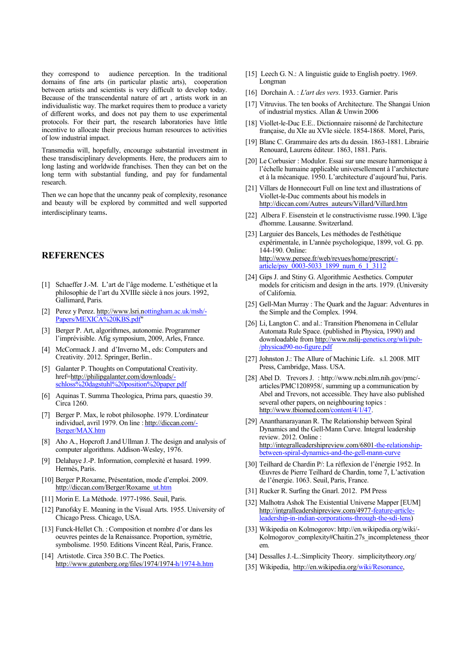they correspond to audience perception. In the traditional domains of fine arts (in particular plastic arts), cooperation between artists and scientists is very difficult to develop today. Because of the transcendental nature of art , artists work in an individualistic way. The market requires them to produce a variety of different works, and does not pay them to use experimental protocols. For their part, the research laboratories have little incentive to allocate their precious human resources to activities of low industrial impact.

Transmedia will, hopefully, encourage substantial investment in these transdisciplinary developments. Here, the producers aim to long lasting and worldwide franchises. Then they can bet on the long term with substantial funding, and pay for fundamental research.

Then we can hope that the uncanny peak of complexity, resonance and beauty will be explored by committed and well supported interdisciplinary teams.

#### **REFERENCES**

- [1] Schaeffer J.-M. L'art de l'âge moderne. L'esthétique et la philosophie de l'art du XVIIIe siècle à nos jours. 1992, Gallimard, Paris.
- [2] Perez y Perez. [http://www.lsri.no](http://www.lsri.n)ttingham.ac.uk/msh/- Papers/MEXICA%20KBS.pdf
- [3] Berger P. Art, algorithmes, autonomie. Programmer l'imprévisible. Afig symposium, 2009, Arles, France.
- [4] McCormack J. and d'Inverno M., eds: Computers and Creativity. 2012. Springer, Berlin..
- [5] Galanter P. Thoughts on Computational Creativity. href[=http://philipgalanter.com/downloads/](http://philipgalanter.com/downloads/) schloss%20dagstuhl%20position%20paper.pdf
- [6] Aquinas T. Summa Theologica, Prima pars, quaestio 39. Circa 1260.
- [7] Berger P. Max, le robot philosophe. 1979. L'ordinateur individuel, avril 1979. On line : [http://diccan.com/-](http://diccan.com/) Berger/MAX.htm
- [8] Aho A., Hopcroft J.and Ullman J. The design and analysis of computer algorithms. Addison-Wesley, 1976.
- [9] Delahaye J.-P. Information, complexité et hasard. 1999. Hermès, Paris.
- [10] Berger P.Roxame, Présentation, mode d'emploi. 2009. [http://diccan.com/Berger/Roxame\\_u](http://diccan.com/Berger/Roxame)t.htm
- [11] Morin E. La Méthode. 1977-1986. Seuil, Paris.
- [12] Panofsky E. Meaning in the Visual Arts. 1955. University of Chicago Press. Chicago, USA.
- [13] Funck-Hellet Ch. : Composition et nombre d'or dans les oeuvres peintes de la Renaissance. Proportion, symétrie, symbolisme. 1950. Editions Vincent Réal, Paris, France.
- [14] Artistotle. Circa 350 B.C. The Poetics. [http://www.gutenberg.org/files/1974/1974-h](http://www.gutenberg.org/files/1974/1974)/1974-h.htm
- [15] Leech G. N.: A linguistic guide to English poetry. 1969. Longman
- [16] Dorchain A. : *L'art des vers*. 1933. Garnier. Paris
- [17] Vitruvius. The ten books of Architecture. The Shangai Union of industrial mystics. Allan & Unwin 2006
- [18] Viollet-le-Duc E.E.. Dictionnaire raisonné de l'architecture française, du XIe au XVIe siècle. 1854-1868. Morel, Paris,
- [19] Blanc C. Grammaire des arts du dessin*.* 1863-1881. Librairie Renouard, Laurens éditeur. 1863, 1881. Paris.
- [20] Le Corbusier : Modulor. Essai sur une mesure harmonique à l'échelle humaine applicable universellement à l'architecture et à la mécanique. 1950. L'architecture d'aujourd'hui, Paris.
- [21] Villars de Honnecourt Full on line text and illustrations of Viollet-le-Duc comments about his models in [http://diccan.com/Autres\\_auteurs/Villard/Villard.htm](http://diccan.com/Autres_auteurs/Villard/Villard.htm)
- [22] Albera F. Eisenstein et le constructivisme russe.1990. L'âge d'homme. Lausanne. Switzerland.
- [23] Larguier des Bancels, Les méthodes de l'esthétique expérimentale, in L'année psychologique, 1899, vol. G. pp. 144-190. Online: <http://www.persee.fr/web/revues/home/prescript/> article/psy\_0003-5033\_1899\_num\_6\_1\_3112
- [24] Gips J. and Stiny G. Algorithmic Aesthetics. Computer models for criticism and design in the arts. 1979. (University of California.
- [25] Gell-Man Murray : The Quark and the Jaguar: Adventures in the Simple and the Complex. 1994.
- [26] Li, Langton C. and al.: Transition Phenomena in Cellular Automata Rule Space. (published in Physica, 1990) and downloadable from [http://www.nslij-](http://www.nslij)genetics.org/wli/pub- /physicad90-no-figure.pdf
- [27] Johnston J.: The Allure of Machinic Life. s.l. 2008. MIT Press, Cambridge, Mass. USA.
- [28] Abel D. Trevors J. <: http://www.ncbi.nlm.nih.gov/pmc/> articles/PMC1208958/, summing up a communication by Abel and Trevors, not accessible. They have also published several other papers, on neighbouring topics : [http://www.tbiomed.com/c](http://www.tbiomed.com/)ontent/4/1/47.
- [29] Ananthanarayanan R. The Relationship between Spiral Dynamics and the Gell-Mann Curve. Integral leadership review. 2012. Online : [http://integralleadershipreview.com/6801-th](http://integralleadershipreview.com/6801)e-relationshipbetween-spiral-dynamics-and-the-gell-mann-curve
- [30] Teilhard de Chardin P/: La réflexion de l'énergie 1952. In Œuvres de Pierre Teilhard de Chardin, tome 7, L'activation de l'énergie. 1063. Seuil, Paris, France.
- [31] Rucker R. Surfing the Gnarl. 2012. PM Press
- [32] Malhotra Ashok The Existential Universe Mapper [EUM] [http://intgralleadershipreview.com/4977-f](http://intgralleadershipreview.com/4977)eature-article leadership-in-indian-corporations-through-the-sdi-lens)
- [33] [Wikipedia on Kolmogorov: http://en.wikipedia.org/wiki/-](Wikipedia on Kolmogorov: http://en.wikipedia.org/wiki/) Kolmogorov complexity#Chaitin.27s incompleteness theor em.
- [34] Dessalles J.-L.:Simplicity Theory. simplicitytheory.org/
- [35] Wikipedia, [http://en.wikipedia.org/w](http://en.wikipedia.org/)iki/Resonance,